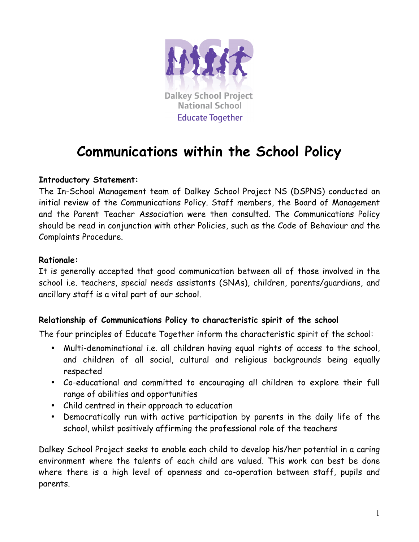

# **Communications within the School Policy**

## **Introductory Statement:**

The In-School Management team of Dalkey School Project NS (DSPNS) conducted an initial review of the Communications Policy. Staff members, the Board of Management and the Parent Teacher Association were then consulted. The Communications Policy should be read in conjunction with other Policies, such as the Code of Behaviour and the Complaints Procedure.

## **Rationale:**

It is generally accepted that good communication between all of those involved in the school i.e. teachers, special needs assistants (SNAs), children, parents/guardians, and ancillary staff is a vital part of our school.

## **Relationship of Communications Policy to characteristic spirit of the school**

The four principles of Educate Together inform the characteristic spirit of the school:

- Multi-denominational i.e. all children having equal rights of access to the school, and children of all social, cultural and religious backgrounds being equally respected
- Co-educational and committed to encouraging all children to explore their full range of abilities and opportunities
- Child centred in their approach to education
- Democratically run with active participation by parents in the daily life of the school, whilst positively affirming the professional role of the teachers

Dalkey School Project seeks to enable each child to develop his/her potential in a caring environment where the talents of each child are valued. This work can best be done where there is a high level of openness and co-operation between staff, pupils and parents.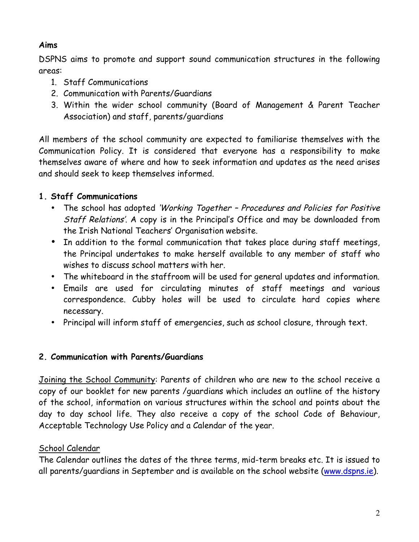# **Aims**

DSPNS aims to promote and support sound communication structures in the following areas:

- 1. Staff Communications
- 2. Communication with Parents/Guardians
- 3. Within the wider school community (Board of Management & Parent Teacher Association) and staff, parents/guardians

All members of the school community are expected to familiarise themselves with the Communication Policy. It is considered that everyone has a responsibility to make themselves aware of where and how to seek information and updates as the need arises and should seek to keep themselves informed.

# **1. Staff Communications**

- The school has adopted 'Working Together Procedures and Policies for Positive Staff Relations'. A copy is in the Principal's Office and may be downloaded from the Irish National Teachers' Organisation website.
- In addition to the formal communication that takes place during staff meetings, the Principal undertakes to make herself available to any member of staff who wishes to discuss school matters with her.
- The whiteboard in the staffroom will be used for general updates and information.
- Emails are used for circulating minutes of staff meetings and various correspondence. Cubby holes will be used to circulate hard copies where necessary.
- Principal will inform staff of emergencies, such as school closure, through text.

# **2. Communication with Parents/Guardians**

Joining the School Community: Parents of children who are new to the school receive a copy of our booklet for new parents /guardians which includes an outline of the history of the school, information on various structures within the school and points about the day to day school life. They also receive a copy of the school Code of Behaviour, Acceptable Technology Use Policy and a Calendar of the year.

# School Calendar

The Calendar outlines the dates of the three terms, mid-term breaks etc. It is issued to all parents/guardians in September and is available on the school website (www.dspns.ie).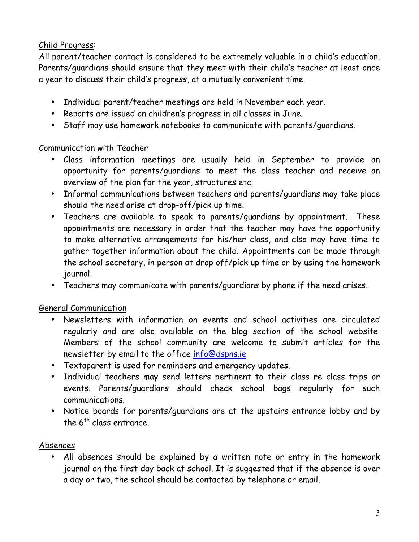# Child Progress:

All parent/teacher contact is considered to be extremely valuable in a child's education. Parents/guardians should ensure that they meet with their child's teacher at least once a year to discuss their child's progress, at a mutually convenient time.

- Individual parent/teacher meetings are held in November each year.
- Reports are issued on children's progress in all classes in June.
- Staff may use homework notebooks to communicate with parents/guardians.

## Communication with Teacher

- Class information meetings are usually held in September to provide an opportunity for parents/guardians to meet the class teacher and receive an overview of the plan for the year, structures etc.
- Informal communications between teachers and parents/guardians may take place should the need arise at drop-off/pick up time.
- Teachers are available to speak to parents/guardians by appointment. These appointments are necessary in order that the teacher may have the opportunity to make alternative arrangements for his/her class, and also may have time to gather together information about the child. Appointments can be made through the school secretary, in person at drop off/pick up time or by using the homework journal.
- Teachers may communicate with parents/guardians by phone if the need arises.

## General Communication

- Newsletters with information on events and school activities are circulated regularly and are also available on the blog section of the school website. Members of the school community are welcome to submit articles for the newsletter by email to the office info@dspns.ie
- Textaparent is used for reminders and emergency updates.
- Individual teachers may send letters pertinent to their class re class trips or events. Parents/guardians should check school bags regularly for such communications.
- Notice boards for parents/guardians are at the upstairs entrance lobby and by the  $6<sup>th</sup>$  class entrance.

# Absences

• All absences should be explained by a written note or entry in the homework journal on the first day back at school. It is suggested that if the absence is over a day or two, the school should be contacted by telephone or email.